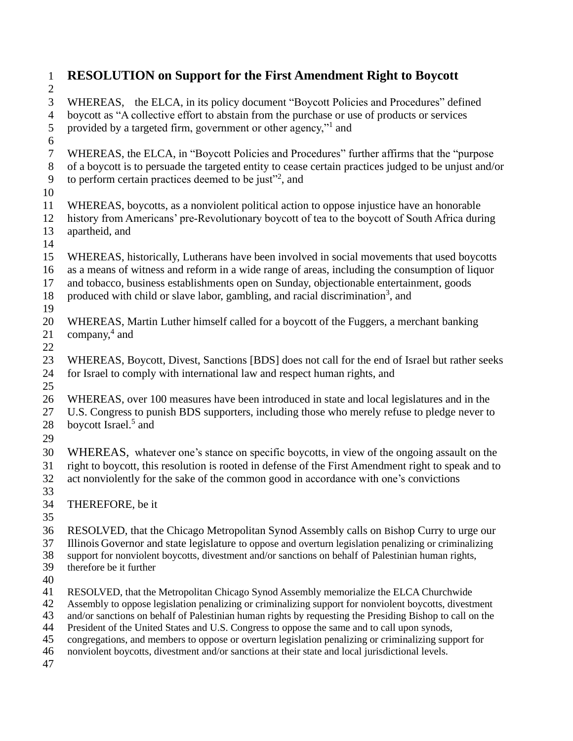| $\mathbf{1}$     | <b>RESOLUTION</b> on Support for the First Amendment Right to Boycott                                                                                                                              |  |  |
|------------------|----------------------------------------------------------------------------------------------------------------------------------------------------------------------------------------------------|--|--|
| $\overline{c}$   |                                                                                                                                                                                                    |  |  |
| 3                | WHEREAS, the ELCA, in its policy document "Boycott Policies and Procedures" defined                                                                                                                |  |  |
| $\overline{4}$   | boycott as "A collective effort to abstain from the purchase or use of products or services                                                                                                        |  |  |
| 5                | provided by a targeted firm, government or other agency," and                                                                                                                                      |  |  |
| $\sqrt{6}$       |                                                                                                                                                                                                    |  |  |
| $\boldsymbol{7}$ | WHEREAS, the ELCA, in "Boycott Policies and Procedures" further affirms that the "purpose"                                                                                                         |  |  |
| $8\,$            | of a boycott is to persuade the targeted entity to cease certain practices judged to be unjust and/or                                                                                              |  |  |
| 9                | to perform certain practices deemed to be just" <sup>2</sup> , and                                                                                                                                 |  |  |
| 10               |                                                                                                                                                                                                    |  |  |
| 11               | WHEREAS, boycotts, as a nonviolent political action to oppose injustice have an honorable                                                                                                          |  |  |
| 12               | history from Americans' pre-Revolutionary boycott of tea to the boycott of South Africa during                                                                                                     |  |  |
| 13<br>14         | apartheid, and                                                                                                                                                                                     |  |  |
| 15               | WHEREAS, historically, Lutherans have been involved in social movements that used boycotts                                                                                                         |  |  |
| 16               | as a means of witness and reform in a wide range of areas, including the consumption of liquor                                                                                                     |  |  |
| 17               | and tobacco, business establishments open on Sunday, objectionable entertainment, goods                                                                                                            |  |  |
| 18               | produced with child or slave labor, gambling, and racial discrimination <sup>3</sup> , and                                                                                                         |  |  |
| 19               |                                                                                                                                                                                                    |  |  |
| 20               | WHEREAS, Martin Luther himself called for a boycott of the Fuggers, a merchant banking                                                                                                             |  |  |
| 21               | company, $4$ and                                                                                                                                                                                   |  |  |
| 22               |                                                                                                                                                                                                    |  |  |
| 23               | WHEREAS, Boycott, Divest, Sanctions [BDS] does not call for the end of Israel but rather seeks                                                                                                     |  |  |
| 24               | for Israel to comply with international law and respect human rights, and                                                                                                                          |  |  |
| 25               |                                                                                                                                                                                                    |  |  |
| 26               | WHEREAS, over 100 measures have been introduced in state and local legislatures and in the                                                                                                         |  |  |
| 27               | U.S. Congress to punish BDS supporters, including those who merely refuse to pledge never to                                                                                                       |  |  |
| 28               | boycott Israel. <sup>5</sup> and                                                                                                                                                                   |  |  |
| 29               |                                                                                                                                                                                                    |  |  |
| 30               | WHEREAS, whatever one's stance on specific boycotts, in view of the ongoing assault on the                                                                                                         |  |  |
| 31               | right to boycott, this resolution is rooted in defense of the First Amendment right to speak and to                                                                                                |  |  |
| 32               | act nonviolently for the sake of the common good in accordance with one's convictions                                                                                                              |  |  |
| 33               |                                                                                                                                                                                                    |  |  |
| 34               | THEREFORE, be it                                                                                                                                                                                   |  |  |
| 35               |                                                                                                                                                                                                    |  |  |
| 36<br>37         | RESOLVED, that the Chicago Metropolitan Synod Assembly calls on Bishop Curry to urge our<br>Illinois Governor and state legislature to oppose and overturn legislation penalizing or criminalizing |  |  |
| 38               | support for nonviolent boycotts, divestment and/or sanctions on behalf of Palestinian human rights,                                                                                                |  |  |
| 39               | therefore be it further                                                                                                                                                                            |  |  |
| 40               |                                                                                                                                                                                                    |  |  |
| 41               | RESOLVED, that the Metropolitan Chicago Synod Assembly memorialize the ELCA Churchwide                                                                                                             |  |  |
| 42               | Assembly to oppose legislation penalizing or criminalizing support for nonviolent boycotts, divestment                                                                                             |  |  |
| 43               | and/or sanctions on behalf of Palestinian human rights by requesting the Presiding Bishop to call on the                                                                                           |  |  |
| 44               | President of the United States and U.S. Congress to oppose the same and to call upon synods,                                                                                                       |  |  |
| 45<br>46         | congregations, and members to oppose or overturn legislation penalizing or criminalizing support for                                                                                               |  |  |
| 47               | nonviolent boycotts, divestment and/or sanctions at their state and local jurisdictional levels.                                                                                                   |  |  |
|                  |                                                                                                                                                                                                    |  |  |